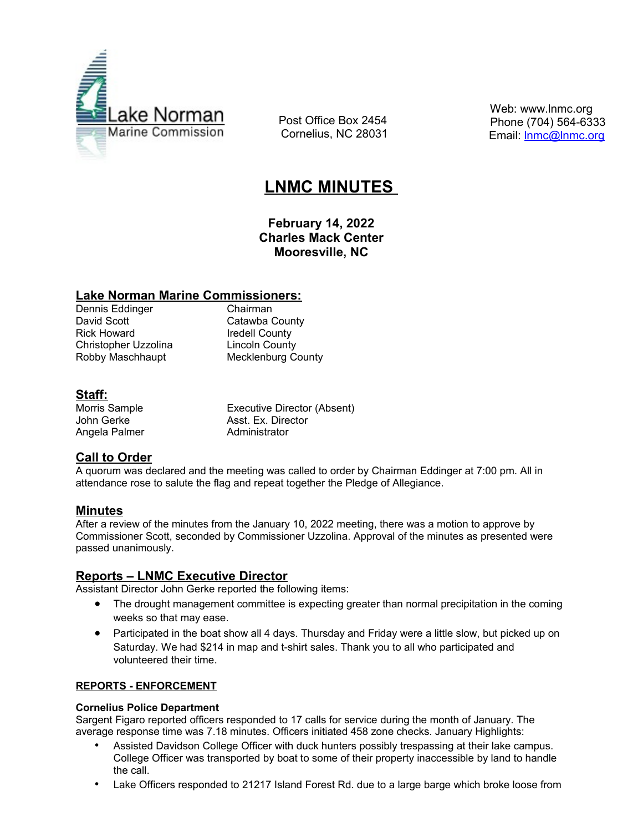

 Post Office Box 2454 Cornelius, NC 28031  Web: www.lnmc.org Phone (704) 564-6333 Email: **Inmc@Inmc.org** 

# **LNMC MINUTES**

**February 14, 2022 Charles Mack Center Mooresville, NC**

## **Lake Norman Marine Commissioners:**

Dennis Eddinger Chairman Rick Howard **Iredell County** Christopher Uzzolina Lincoln County

Catawba County Robby Maschhaupt Mecklenburg County

# **Staff:**

Angela Palmer Administrator

Morris Sample **Executive Director (Absent)** John Gerke **Asst. Ex. Director** 

# **Call to Order**

A quorum was declared and the meeting was called to order by Chairman Eddinger at 7:00 pm. All in attendance rose to salute the flag and repeat together the Pledge of Allegiance.

# **Minutes**

After a review of the minutes from the January 10, 2022 meeting, there was a motion to approve by Commissioner Scott, seconded by Commissioner Uzzolina. Approval of the minutes as presented were passed unanimously.

## **Reports – LNMC Executive Director**

Assistant Director John Gerke reported the following items:

- The drought management committee is expecting greater than normal precipitation in the coming weeks so that may ease.
- Participated in the boat show all 4 days. Thursday and Friday were a little slow, but picked up on Saturday. We had \$214 in map and t-shirt sales. Thank you to all who participated and volunteered their time.

#### **REPORTS - ENFORCEMENT**

#### **Cornelius Police Department**

Sargent Figaro reported officers responded to 17 calls for service during the month of January. The average response time was 7.18 minutes. Officers initiated 458 zone checks. January Highlights:

- Assisted Davidson College Officer with duck hunters possibly trespassing at their lake campus. College Officer was transported by boat to some of their property inaccessible by land to handle the call.
- Lake Officers responded to 21217 Island Forest Rd. due to a large barge which broke loose from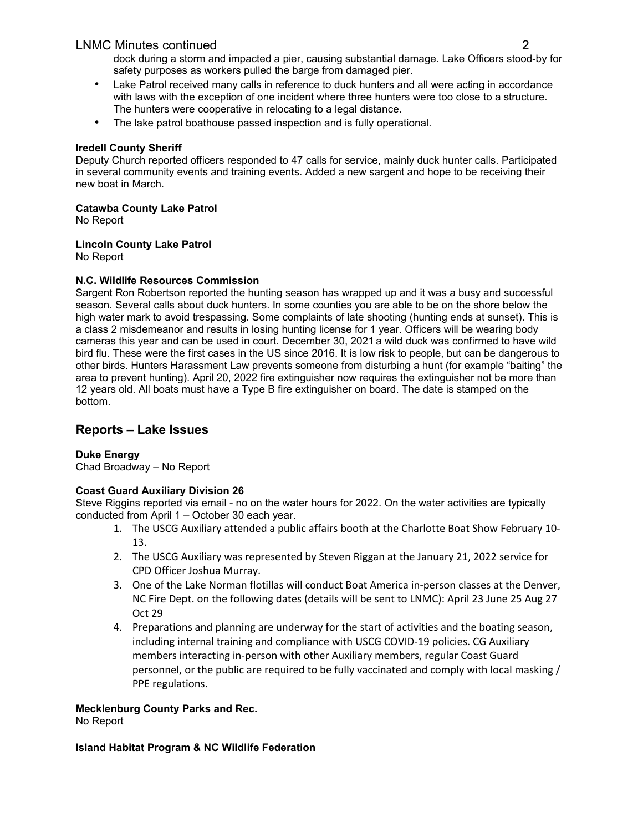## LNMC Minutes continued 2

dock during a storm and impacted a pier, causing substantial damage. Lake Officers stood-by for safety purposes as workers pulled the barge from damaged pier.

- Lake Patrol received many calls in reference to duck hunters and all were acting in accordance with laws with the exception of one incident where three hunters were too close to a structure. The hunters were cooperative in relocating to a legal distance.
- The lake patrol boathouse passed inspection and is fully operational.

## **Iredell County Sheriff**

Deputy Church reported officers responded to 47 calls for service, mainly duck hunter calls. Participated in several community events and training events. Added a new sargent and hope to be receiving their new boat in March.

## **Catawba County Lake Patrol**

No Report

## **Lincoln County Lake Patrol**

No Report

## **N.C. Wildlife Resources Commission**

Sargent Ron Robertson reported the hunting season has wrapped up and it was a busy and successful season. Several calls about duck hunters. In some counties you are able to be on the shore below the high water mark to avoid trespassing. Some complaints of late shooting (hunting ends at sunset). This is a class 2 misdemeanor and results in losing hunting license for 1 year. Officers will be wearing body cameras this year and can be used in court. December 30, 2021a wild duck was confirmed to have wild bird flu. These were the first cases in the US since 2016. It is low risk to people, but can be dangerous to other birds. Hunters Harassment Law prevents someone from disturbing a hunt (for example "baiting" the area to prevent hunting). April 20, 2022 fire extinguisher now requires the extinguisher not be more than 12 years old. All boats must have a Type B fire extinguisher on board. The date is stamped on the bottom.

# **Reports – Lake Issues**

## **Duke Energy**

Chad Broadway – No Report

## **Coast Guard Auxiliary Division 26**

Steve Riggins reported via email - no on the water hours for 2022. On the water activities are typically conducted from April 1 – October 30 each year.

- 1. The USCG Auxiliary attended a public affairs booth at the Charlotte Boat Show February 10- 13.
- 2. The USCG Auxiliary was represented by Steven Riggan at the January 21, 2022 service for CPD Officer Joshua Murray.
- 3. One of the Lake Norman flotillas will conduct Boat America in-person classes at the Denver, NC Fire Dept. on the following dates (details will be sent to LNMC): April 23 June 25 Aug 27 Oct 29
- 4. Preparations and planning are underway for the start of activities and the boating season, including internal training and compliance with USCG COVID-19 policies. CG Auxiliary members interacting in-person with other Auxiliary members, regular Coast Guard personnel, or the public are required to be fully vaccinated and comply with local masking / PPE regulations.

#### **Mecklenburg County Parks and Rec.**

No Report

#### **Island Habitat Program & NC Wildlife Federation**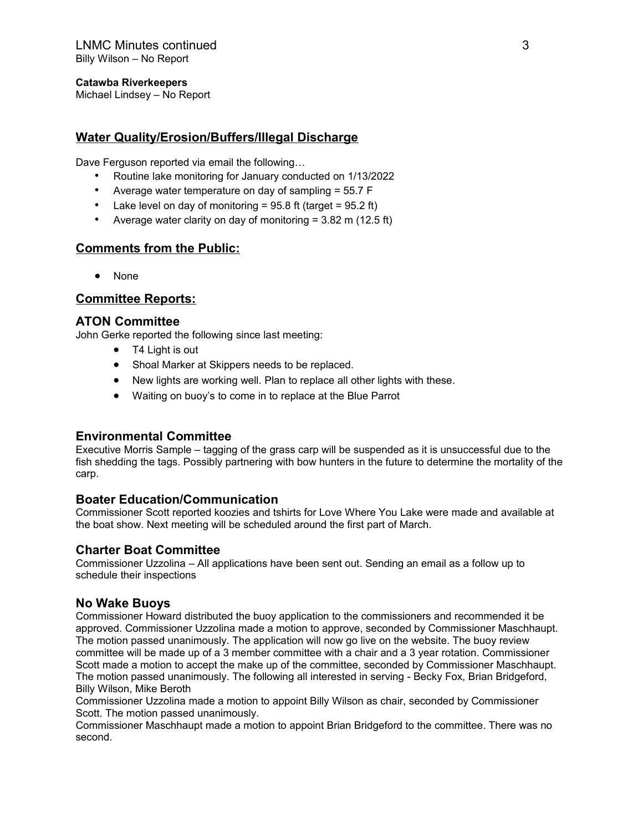#### **Catawba Riverkeepers**

Michael Lindsey – No Report

## **Water Quality/Erosion/Buffers/Illegal Discharge**

Dave Ferguson reported via email the following…

- Routine lake monitoring for January conducted on 1/13/2022
- Average water temperature on day of sampling = 55.7 F
- Lake level on day of monitoring =  $95.8$  ft (target =  $95.2$  ft)
- Average water clarity on day of monitoring = 3.82 m (12.5 ft)

## **Comments from the Public:**

None

## **Committee Reports:**

## **ATON Committee**

John Gerke reported the following since last meeting:

- T4 Light is out
- Shoal Marker at Skippers needs to be replaced.
- New lights are working well. Plan to replace all other lights with these.
- Waiting on buoy's to come in to replace at the Blue Parrot

#### **Environmental Committee**

Executive Morris Sample – tagging of the grass carp will be suspended as it is unsuccessful due to the fish shedding the tags. Possibly partnering with bow hunters in the future to determine the mortality of the carp.

#### **Boater Education/Communication**

Commissioner Scott reported koozies and tshirts for Love Where You Lake were made and available at the boat show. Next meeting will be scheduled around the first part of March.

## **Charter Boat Committee**

Commissioner Uzzolina – All applications have been sent out. Sending an email as a follow up to schedule their inspections

#### **No Wake Buoys**

Commissioner Howard distributed the buoy application to the commissioners and recommended it be approved. Commissioner Uzzolina made a motion to approve, seconded by Commissioner Maschhaupt. The motion passed unanimously. The application will now go live on the website. The buoy review committee will be made up of a 3 member committee with a chair and a 3 year rotation. Commissioner Scott made a motion to accept the make up of the committee, seconded by Commissioner Maschhaupt. The motion passed unanimously. The following all interested in serving - Becky Fox, Brian Bridgeford, Billy Wilson, Mike Beroth

Commissioner Uzzolina made a motion to appoint Billy Wilson as chair, seconded by Commissioner Scott. The motion passed unanimously.

Commissioner Maschhaupt made a motion to appoint Brian Bridgeford to the committee. There was no second.